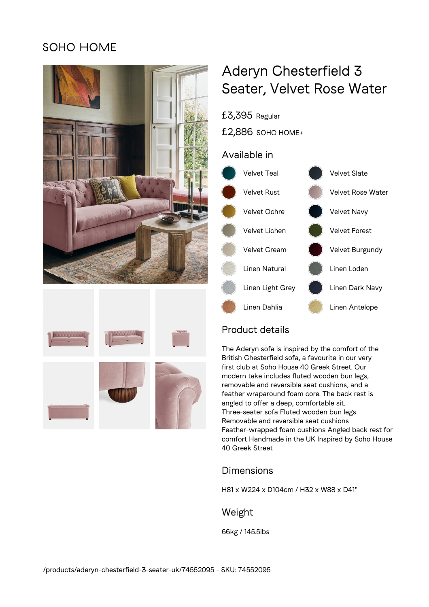# **SOHO HOME**





# Aderyn Chesterfield 3 Seater, Velvet Rose Water



## Product details

£3,395 Regular

The Aderyn sofa is inspired by the comfort of the British Chesterfield sofa, a favourite in our very first club at Soho House 40 Greek Street. Our modern take includes fluted wooden bun legs, removable and reversible seat cushions, and a feather wraparound foam core. The back rest is angled to offer a deep, comfortable sit. Three-seater sofa Fluted wooden bun legs Removable and reversible seat cushions Feather-wrapped foam cushions Angled back rest for comfort Handmade in the UK Inspired by Soho House 40 Greek Street

## Dimensions

H81 x W224 x D104cm / H32 x W88 x D41"

#### Weight

66kg / 145.5lbs